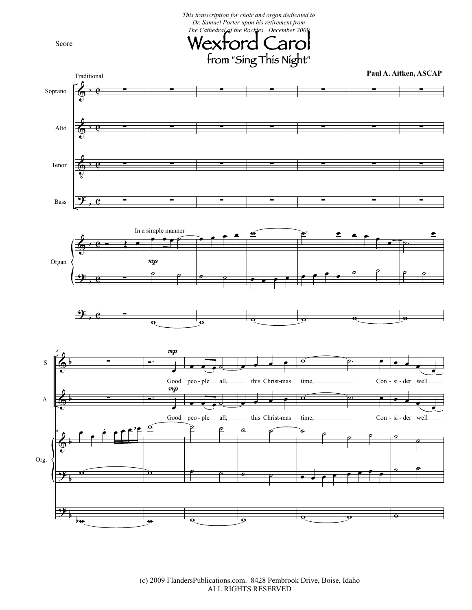*This transcription for choir and organ dedicated to Dr. Samuel Porter upon his retirement from The Cathedral of the Rockies. December 2009*

Score

|  | Wextord Carol          |
|--|------------------------|
|  | from "Sing This Night" |

**Paul A. Aitken, ASCAP**



(c) 2009 FlandersPublications.com. 8428 Pembrook Drive, Boise, Idaho ALL RIGHTS RESERVED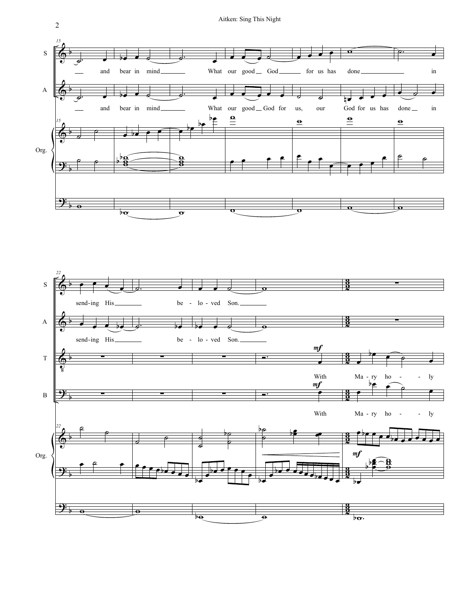

 $\overline{b\sigma}$ .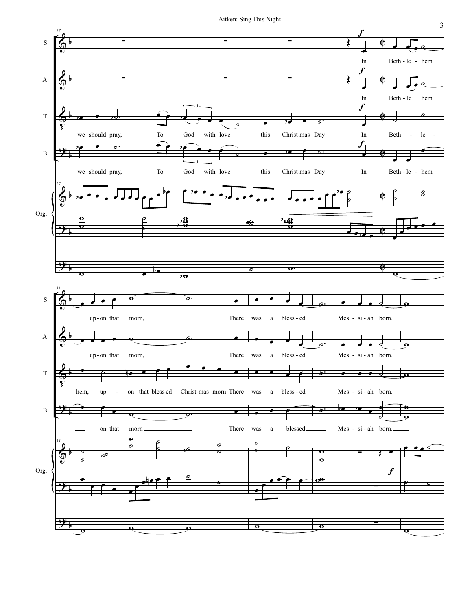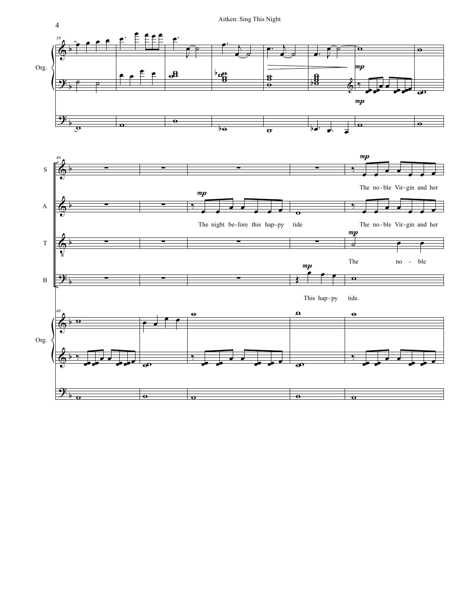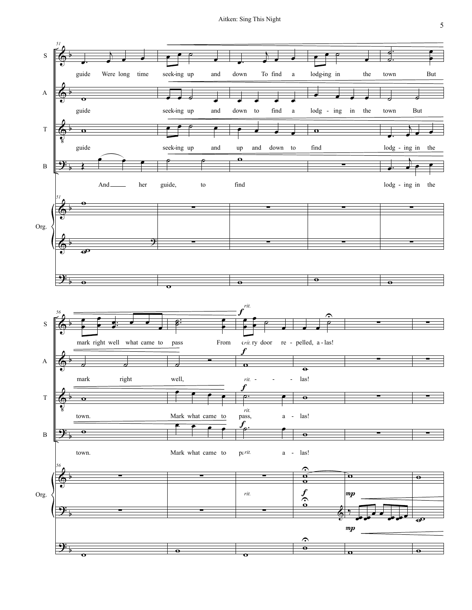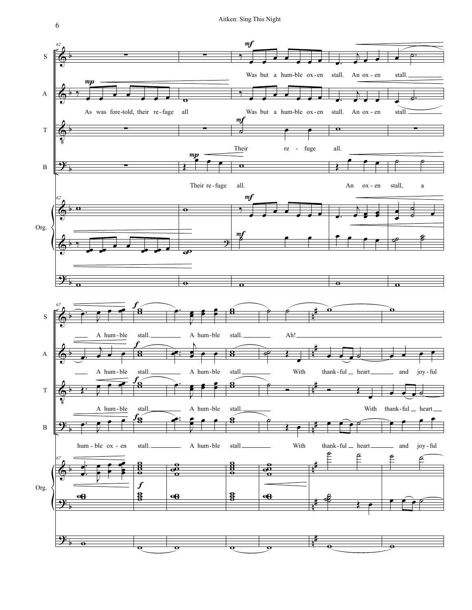<sup>6</sup> Aitken: Sing This Night

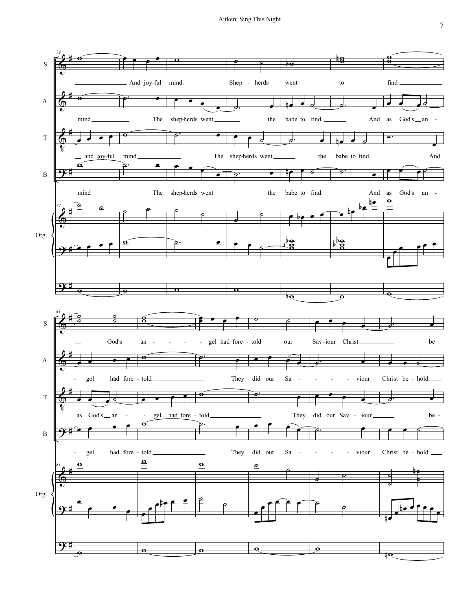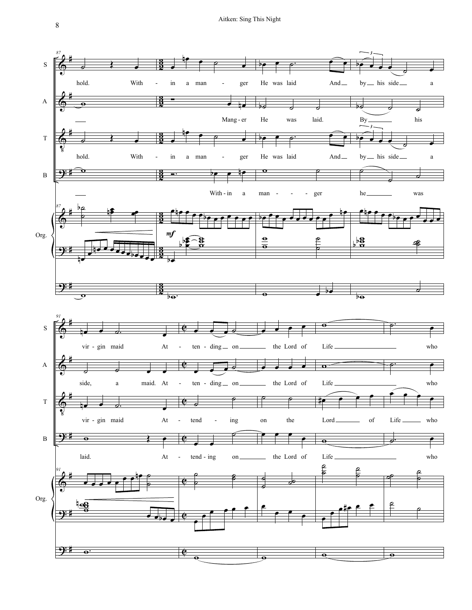